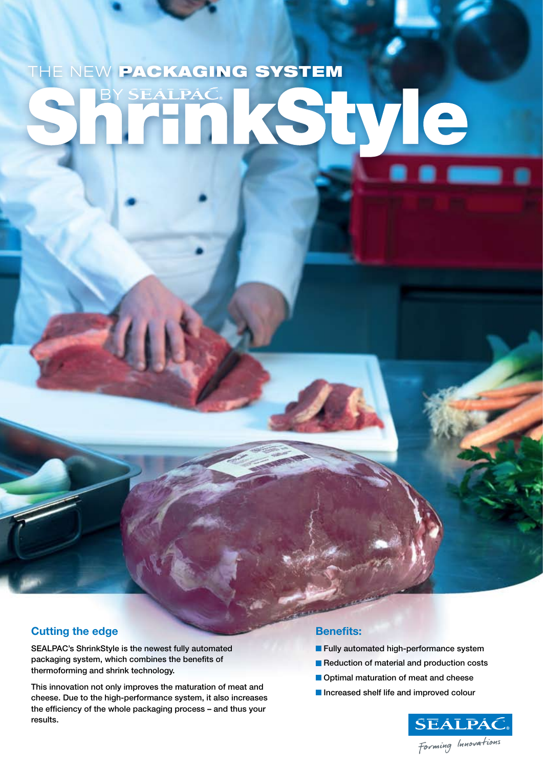# THE NEW PACKAGING SYSTEM BY SEALPAC yle

#### **Cutting the edge**

SEALPAC's ShrinkStyle is the newest fully automated packaging system, which combines the benefits of thermoforming and shrink technology.

This innovation not only improves the maturation of meat and cheese. Due to the high-performance system, it also increases the efficiency of the whole packaging process – and thus your results.

#### **Benefits:**

- **Fully automated high-performance system**
- Reduction of material and production costs
- **Optimal maturation of meat and cheese**
- **Increased shelf life and improved colour**